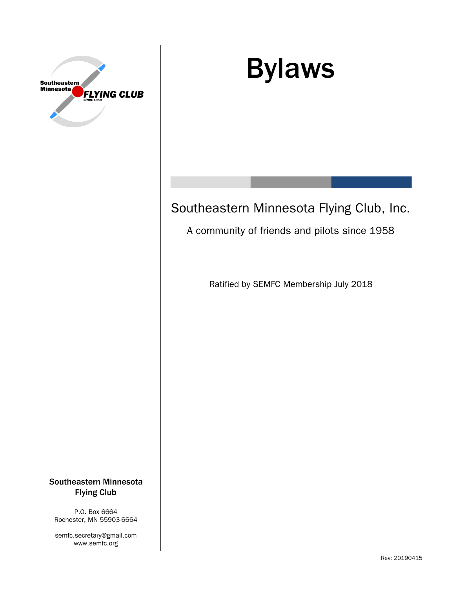

# Bylaws

# Southeastern Minnesota Flying Club, Inc.

# A community of friends and pilots since 1958

Ratified by SEMFC Membership July 2018

#### Southeastern Minnesota Flying Club

P.O. Box 6664 Rochester, MN 55903-6664

semfc.secretary@gmail.com www.semfc.org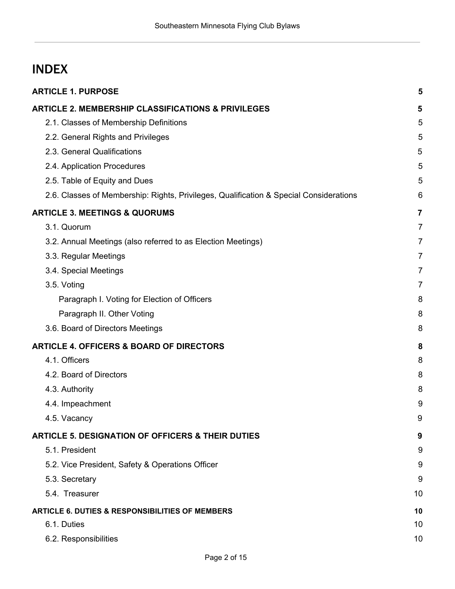# INDEX

| <b>ARTICLE 1. PURPOSE</b>                                                              | 5              |
|----------------------------------------------------------------------------------------|----------------|
| <b>ARTICLE 2. MEMBERSHIP CLASSIFICATIONS &amp; PRIVILEGES</b>                          | 5              |
| 2.1. Classes of Membership Definitions                                                 | 5              |
| 2.2. General Rights and Privileges                                                     | 5              |
| 2.3. General Qualifications                                                            | 5              |
| 2.4. Application Procedures                                                            | 5              |
| 2.5. Table of Equity and Dues                                                          | 5              |
| 2.6. Classes of Membership: Rights, Privileges, Qualification & Special Considerations | 6              |
| <b>ARTICLE 3. MEETINGS &amp; QUORUMS</b>                                               | $\overline{7}$ |
| 3.1. Quorum                                                                            | $\overline{7}$ |
| 3.2. Annual Meetings (also referred to as Election Meetings)                           | $\overline{7}$ |
| 3.3. Regular Meetings                                                                  | $\overline{7}$ |
| 3.4. Special Meetings                                                                  | 7              |
| 3.5. Voting                                                                            | $\overline{7}$ |
| Paragraph I. Voting for Election of Officers                                           | 8              |
| Paragraph II. Other Voting                                                             | 8              |
| 3.6. Board of Directors Meetings                                                       | 8              |
| <b>ARTICLE 4. OFFICERS &amp; BOARD OF DIRECTORS</b>                                    | 8              |
| 4.1. Officers                                                                          | 8              |
| 4.2. Board of Directors                                                                | 8              |
| 4.3. Authority                                                                         | 8              |
| 4.4. Impeachment                                                                       | 9              |
| 4.5. Vacancy                                                                           | 9              |
| <b>ARTICLE 5. DESIGNATION OF OFFICERS &amp; THEIR DUTIES</b>                           | 9              |
| 5.1. President                                                                         | 9              |
| 5.2. Vice President, Safety & Operations Officer                                       | 9              |
| 5.3. Secretary                                                                         | 9              |
| 5.4. Treasurer                                                                         | 10             |
| <b>ARTICLE 6. DUTIES &amp; RESPONSIBILITIES OF MEMBERS</b>                             | 10             |
| 6.1. Duties                                                                            | 10             |
| 6.2. Responsibilities                                                                  | 10             |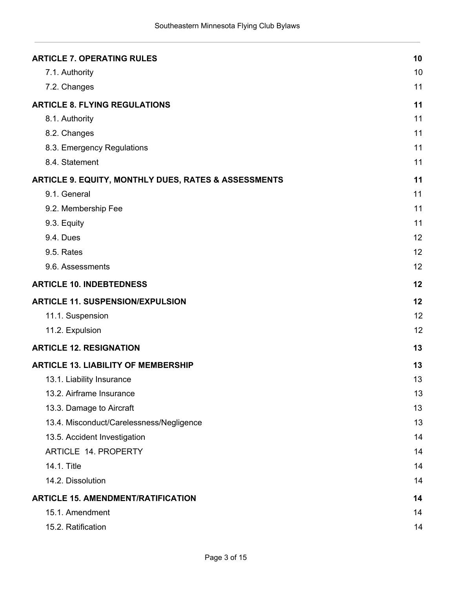| <b>ARTICLE 7. OPERATING RULES</b>                               | 10 |
|-----------------------------------------------------------------|----|
| 7.1. Authority                                                  | 10 |
| 7.2. Changes                                                    | 11 |
| <b>ARTICLE 8. FLYING REGULATIONS</b>                            | 11 |
| 8.1. Authority                                                  | 11 |
| 8.2. Changes                                                    | 11 |
| 8.3. Emergency Regulations                                      | 11 |
| 8.4. Statement                                                  | 11 |
| <b>ARTICLE 9. EQUITY, MONTHLY DUES, RATES &amp; ASSESSMENTS</b> | 11 |
| 9.1. General                                                    | 11 |
| 9.2. Membership Fee                                             | 11 |
| 9.3. Equity                                                     | 11 |
| 9.4. Dues                                                       | 12 |
| 9.5. Rates                                                      | 12 |
| 9.6. Assessments                                                | 12 |
| <b>ARTICLE 10. INDEBTEDNESS</b>                                 | 12 |
| <b>ARTICLE 11. SUSPENSION/EXPULSION</b>                         | 12 |
| 11.1. Suspension                                                | 12 |
| 11.2. Expulsion                                                 | 12 |
| <b>ARTICLE 12. RESIGNATION</b>                                  | 13 |
| <b>ARTICLE 13. LIABILITY OF MEMBERSHIP</b>                      | 13 |
| 13.1. Liability Insurance                                       | 13 |
| 13.2. Airframe Insurance                                        | 13 |
| 13.3. Damage to Aircraft                                        | 13 |
| 13.4. Misconduct/Carelessness/Negligence                        | 13 |
| 13.5. Accident Investigation                                    | 14 |
| ARTICLE 14. PROPERTY                                            | 14 |
| 14.1. Title                                                     | 14 |
| 14.2. Dissolution                                               | 14 |
| <b>ARTICLE 15. AMENDMENT/RATIFICATION</b>                       | 14 |
| 15.1. Amendment                                                 | 14 |
| 15.2. Ratification                                              | 14 |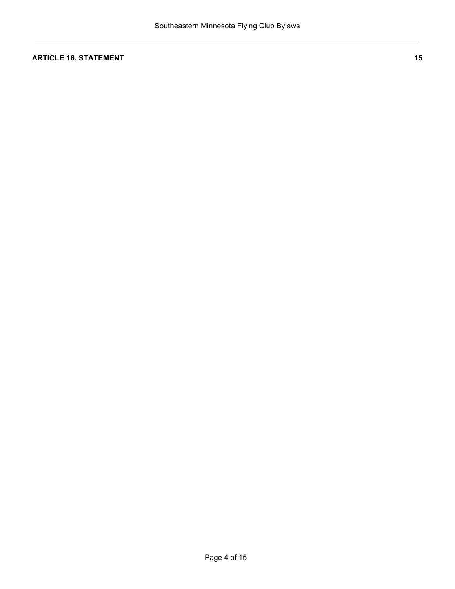#### **ARTICLE 16. [STATEMENT](#page-14-0) [15](#page-14-0)**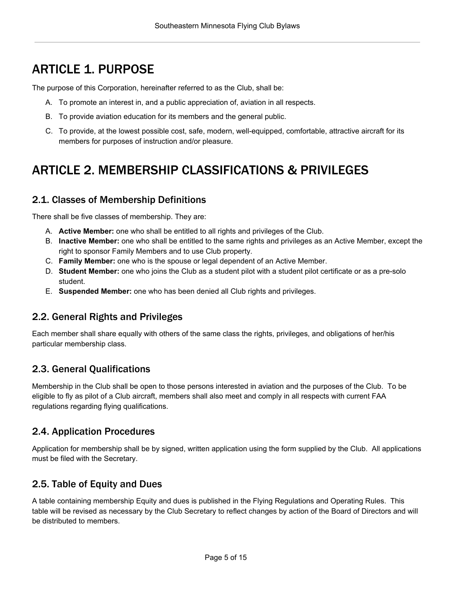# <span id="page-4-0"></span>ARTICLE 1. PURPOSE

The purpose of this Corporation, hereinafter referred to as the Club, shall be:

- A. To promote an interest in, and a public appreciation of, aviation in all respects.
- B. To provide aviation education for its members and the general public.
- C. To provide, at the lowest possible cost, safe, modern, well-equipped, comfortable, attractive aircraft for its members for purposes of instruction and/or pleasure.

# <span id="page-4-1"></span>ARTICLE 2. MEMBERSHIP CLASSIFICATIONS & PRIVILEGES

### <span id="page-4-2"></span>2.1. Classes of Membership Definitions

There shall be five classes of membership. They are:

- A. **Active Member:** one who shall be entitled to all rights and privileges of the Club.
- B. **Inactive Member:** one who shall be entitled to the same rights and privileges as an Active Member, except the right to sponsor Family Members and to use Club property.
- C. **Family Member:** one who is the spouse or legal dependent of an Active Member.
- D. **Student Member:** one who joins the Club as a student pilot with a student pilot certificate or as a pre-solo student.
- E. **Suspended Member:** one who has been denied all Club rights and privileges.

#### <span id="page-4-3"></span>2.2. General Rights and Privileges

Each member shall share equally with others of the same class the rights, privileges, and obligations of her/his particular membership class.

# <span id="page-4-4"></span>2.3. General Qualifications

Membership in the Club shall be open to those persons interested in aviation and the purposes of the Club. To be eligible to fly as pilot of a Club aircraft, members shall also meet and comply in all respects with current FAA regulations regarding flying qualifications.

# <span id="page-4-5"></span>2.4. Application Procedures

Application for membership shall be by signed, written application using the form supplied by the Club. All applications must be filed with the Secretary.

# <span id="page-4-6"></span>2.5. Table of Equity and Dues

A table containing membership Equity and dues is published in the Flying Regulations and Operating Rules. This table will be revised as necessary by the Club Secretary to reflect changes by action of the Board of Directors and will be distributed to members.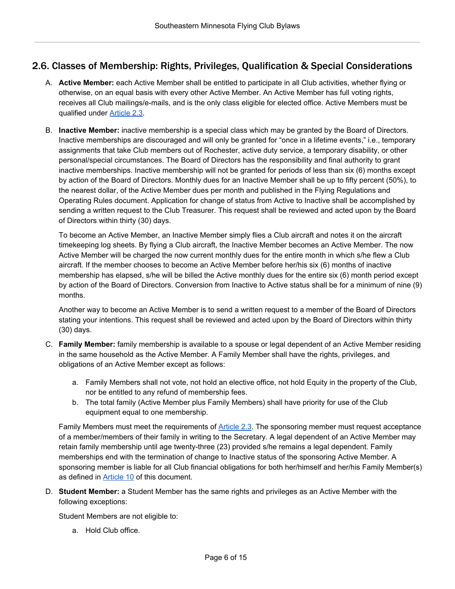# <span id="page-5-0"></span>2.6. Classes of Membership: Rights, Privileges, Qualification & Special Considerations

- A. **Active Member:** each Active Member shall be entitled to participate in all Club activities, whether flying or otherwise, on an equal basis with every other Active Member. An Active Member has full voting rights, receives all Club mailings/e-mails, and is the only class eligible for elected office. Active Members must be qualified under [Article](#page-4-4) 2.3.
- B. **Inactive Member:** inactive membership is a special class which may be granted by the Board of Directors. Inactive memberships are discouraged and will only be granted for "once in a lifetime events," i.e., temporary assignments that take Club members out of Rochester, active duty service, a temporary disability, or other personal/special circumstances. The Board of Directors has the responsibility and final authority to grant inactive memberships. Inactive membership will not be granted for periods of less than six (6) months except by action of the Board of Directors. Monthly dues for an Inactive Member shall be up to fifty percent (50%), to the nearest dollar, of the Active Member dues per month and published in the Flying Regulations and Operating Rules document. Application for change of status from Active to Inactive shall be accomplished by sending a written request to the Club Treasurer. This request shall be reviewed and acted upon by the Board of Directors within thirty (30) days.

To become an Active Member, an Inactive Member simply flies a Club aircraft and notes it on the aircraft timekeeping log sheets. By flying a Club aircraft, the Inactive Member becomes an Active Member. The now Active Member will be charged the now current monthly dues for the entire month in which s/he flew a Club aircraft. If the member chooses to become an Active Member before her/his six (6) months of inactive membership has elapsed, s/he will be billed the Active monthly dues for the entire six (6) month period except by action of the Board of Directors. Conversion from Inactive to Active status shall be for a minimum of nine (9) months.

Another way to become an Active Member is to send a written request to a member of the Board of Directors stating your intentions. This request shall be reviewed and acted upon by the Board of Directors within thirty (30) days.

- C. **Family Member:** family membership is available to a spouse or legal dependent of an Active Member residing in the same household as the Active Member. A Family Member shall have the rights, privileges, and obligations of an Active Member except as follows:
	- a. Family Members shall not vote, not hold an elective office, not hold Equity in the property of the Club, nor be entitled to any refund of membership fees.
	- b. The total family (Active Member plus Family Members) shall have priority for use of the Club equipment equal to one membership.

Family Members must meet the requirements of [Article](#page-4-4) 2.3. The sponsoring member must request acceptance of a member/members of their family in writing to the Secretary. A legal dependent of an Active Member may retain family membership until age twenty-three (23) provided s/he remains a legal dependent. Family memberships end with the termination of change to Inactive status of the sponsoring Active Member. A sponsoring member is liable for all Club financial obligations for both her/himself and her/his Family Member(s) as defined in [Article](#page-11-3) 10 of this document.

D. **Student Member:** a Student Member has the same rights and privileges as an Active Member with the following exceptions:

Student Members are not eligible to:

a. Hold Club office.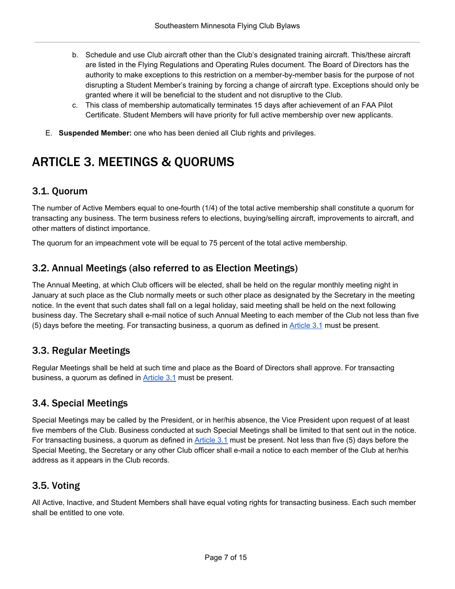- b. Schedule and use Club aircraft other than the Club's designated training aircraft. This/these aircraft are listed in the Flying Regulations and Operating Rules document. The Board of Directors has the authority to make exceptions to this restriction on a member-by-member basis for the purpose of not disrupting a Student Member's training by forcing a change of aircraft type. Exceptions should only be granted where it will be beneficial to the student and not disruptive to the Club.
- c. This class of membership automatically terminates 15 days after achievement of an FAA Pilot Certificate. Student Members will have priority for full active membership over new applicants.
- E. **Suspended Member:** one who has been denied all Club rights and privileges.

# <span id="page-6-0"></span>ARTICLE 3. MEETINGS & QUORUMS

### <span id="page-6-1"></span>3.1. Quorum

The number of Active Members equal to one-fourth (1/4) of the total active membership shall constitute a quorum for transacting any business. The term business refers to elections, buying/selling aircraft, improvements to aircraft, and other matters of distinct importance.

The quorum for an impeachment vote will be equal to 75 percent of the total active membership.

#### <span id="page-6-2"></span>3.2. Annual Meetings (also referred to as Election Meetings)

The Annual Meeting, at which Club officers will be elected, shall be held on the regular monthly meeting night in January at such place as the Club normally meets or such other place as designated by the Secretary in the meeting notice. In the event that such dates shall fall on a legal holiday, said meeting shall be held on the next following business day. The Secretary shall e-mail notice of such Annual Meeting to each member of the Club not less than five (5) days before the meeting. For transacting business, a quorum as defined in [Article](#page-6-1) 3.1 must be present.

# <span id="page-6-3"></span>3.3. Regular Meetings

Regular Meetings shall be held at such time and place as the Board of Directors shall approve. For transacting business, a quorum as defined in **[Article](#page-6-1) 3.1** must be present.

#### <span id="page-6-4"></span>3.4. Special Meetings

Special Meetings may be called by the President, or in her/his absence, the Vice President upon request of at least five members of the Club. Business conducted at such Special Meetings shall be limited to that sent out in the notice. For transacting business, a quorum as defined in [Article](#page-6-1) 3.1 must be present. Not less than five (5) days before the Special Meeting, the Secretary or any other Club officer shall e-mail a notice to each member of the Club at her/his address as it appears in the Club records.

#### <span id="page-6-5"></span>3.5. Voting

All Active, Inactive, and Student Members shall have equal voting rights for transacting business. Each such member shall be entitled to one vote.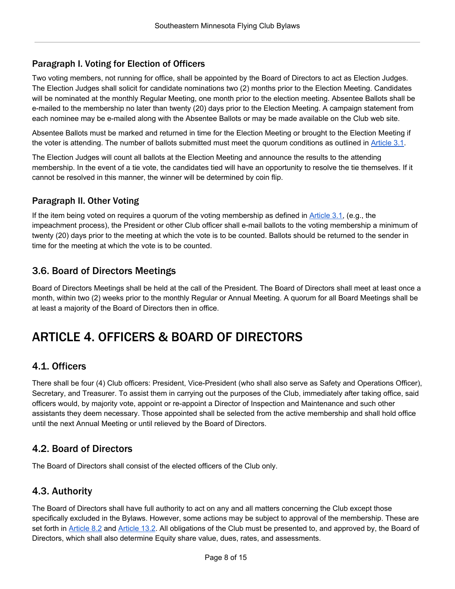#### <span id="page-7-0"></span>Paragraph I. Voting for Election of Officers

Two voting members, not running for office, shall be appointed by the Board of Directors to act as Election Judges. The Election Judges shall solicit for candidate nominations two (2) months prior to the Election Meeting. Candidates will be nominated at the monthly Regular Meeting, one month prior to the election meeting. Absentee Ballots shall be e-mailed to the membership no later than twenty (20) days prior to the Election Meeting. A campaign statement from each nominee may be e-mailed along with the Absentee Ballots or may be made available on the Club web site.

Absentee Ballots must be marked and returned in time for the Election Meeting or brought to the Election Meeting if the voter is attending. The number of ballots submitted must meet the quorum conditions as outlined in [Article](#page-6-1) 3.1.

The Election Judges will count all ballots at the Election Meeting and announce the results to the attending membership. In the event of a tie vote, the candidates tied will have an opportunity to resolve the tie themselves. If it cannot be resolved in this manner, the winner will be determined by coin flip.

#### <span id="page-7-1"></span>Paragraph II. Other Voting

If the item being voted on requires a quorum of the voting membership as defined in [Article](#page-6-1) 3.1, (e.g., the impeachment process), the President or other Club officer shall e-mail ballots to the voting membership a minimum of twenty (20) days prior to the meeting at which the vote is to be counted. Ballots should be returned to the sender in time for the meeting at which the vote is to be counted.

# <span id="page-7-2"></span>3.6. Board of Directors Meetings

Board of Directors Meetings shall be held at the call of the President. The Board of Directors shall meet at least once a month, within two (2) weeks prior to the monthly Regular or Annual Meeting. A quorum for all Board Meetings shall be at least a majority of the Board of Directors then in office.

# <span id="page-7-3"></span>ARTICLE 4. OFFICERS & BOARD OF DIRECTORS

# <span id="page-7-4"></span>4.1. Officers

There shall be four (4) Club officers: President, Vice-President (who shall also serve as Safety and Operations Officer), Secretary, and Treasurer. To assist them in carrying out the purposes of the Club, immediately after taking office, said officers would, by majority vote, appoint or re-appoint a Director of Inspection and Maintenance and such other assistants they deem necessary. Those appointed shall be selected from the active membership and shall hold office until the next Annual Meeting or until relieved by the Board of Directors.

#### <span id="page-7-5"></span>4.2. Board of Directors

The Board of Directors shall consist of the elected officers of the Club only.

#### <span id="page-7-6"></span>4.3. Authority

The Board of Directors shall have full authority to act on any and all matters concerning the Club except those specifically excluded in the Bylaws. However, some actions may be subject to approval of the membership. These are set forth in [Article](#page-10-3) 8.2 and [Article](#page-12-3) 13.2. All obligations of the Club must be presented to, and approved by, the Board of Directors, which shall also determine Equity share value, dues, rates, and assessments.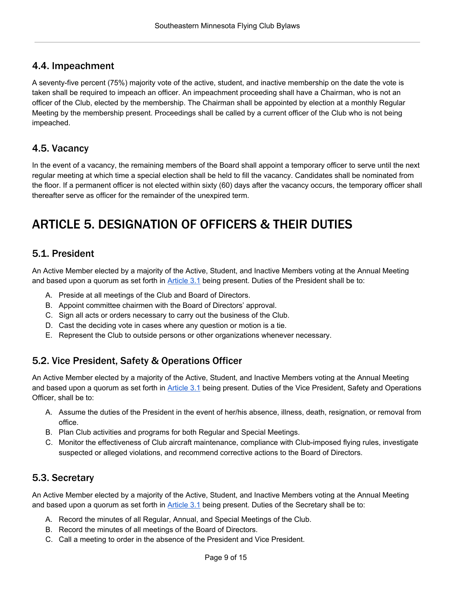# <span id="page-8-0"></span>4.4. Impeachment

A seventy-five percent (75%) majority vote of the active, student, and inactive membership on the date the vote is taken shall be required to impeach an officer. An impeachment proceeding shall have a Chairman, who is not an officer of the Club, elected by the membership. The Chairman shall be appointed by election at a monthly Regular Meeting by the membership present. Proceedings shall be called by a current officer of the Club who is not being impeached.

# <span id="page-8-1"></span>4.5. Vacancy

In the event of a vacancy, the remaining members of the Board shall appoint a temporary officer to serve until the next regular meeting at which time a special election shall be held to fill the vacancy. Candidates shall be nominated from the floor. If a permanent officer is not elected within sixty (60) days after the vacancy occurs, the temporary officer shall thereafter serve as officer for the remainder of the unexpired term.

# <span id="page-8-2"></span>ARTICLE 5. DESIGNATION OF OFFICERS & THEIR DUTIES

### <span id="page-8-3"></span>5.1. President

An Active Member elected by a majority of the Active, Student, and Inactive Members voting at the Annual Meeting and based upon a quorum as set forth in [Article](#page-6-1) 3.1 being present. Duties of the President shall be to:

- A. Preside at all meetings of the Club and Board of Directors.
- B. Appoint committee chairmen with the Board of Directors' approval.
- C. Sign all acts or orders necessary to carry out the business of the Club.
- D. Cast the deciding vote in cases where any question or motion is a tie.
- E. Represent the Club to outside persons or other organizations whenever necessary.

# <span id="page-8-4"></span>5.2. Vice President, Safety & Operations Officer

An Active Member elected by a majority of the Active, Student, and Inactive Members voting at the Annual Meeting and based upon a quorum as set forth in [Article](#page-6-1) 3.1 being present. Duties of the Vice President, Safety and Operations Officer, shall be to:

- A. Assume the duties of the President in the event of her/his absence, illness, death, resignation, or removal from office.
- B. Plan Club activities and programs for both Regular and Special Meetings.
- C. Monitor the effectiveness of Club aircraft maintenance, compliance with Club-imposed flying rules, investigate suspected or alleged violations, and recommend corrective actions to the Board of Directors.

# <span id="page-8-5"></span>5.3. Secretary

An Active Member elected by a majority of the Active, Student, and Inactive Members voting at the Annual Meeting and based upon a quorum as set forth in [Article](#page-6-1) 3.1 being present. Duties of the Secretary shall be to:

- A. Record the minutes of all Regular, Annual, and Special Meetings of the Club.
- B. Record the minutes of all meetings of the Board of Directors.
- C. Call a meeting to order in the absence of the President and Vice President.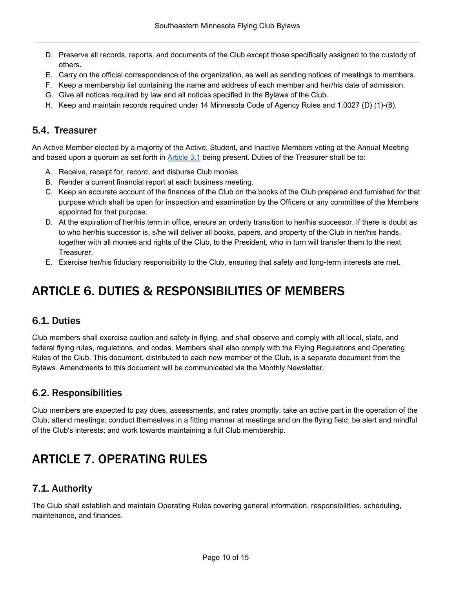- D. Preserve all records, reports, and documents of the Club except those specifically assigned to the custody of others.
- E. Carry on the official correspondence of the organization, as well as sending notices of meetings to members.
- F. Keep a membership list containing the name and address of each member and her/his date of admission.
- G. Give all notices required by law and all notices specified in the Bylaws of the Club.
- H. Keep and maintain records required under 14 Minnesota Code of Agency Rules and 1.0027 (D) (1)-(8).

### <span id="page-9-0"></span>5.4. Treasurer

An Active Member elected by a majority of the Active, Student, and Inactive Members voting at the Annual Meeting and based upon a quorum as set forth in [Article](#page-6-1) 3.1 being present. Duties of the Treasurer shall be to:

- A. Receive, receipt for, record, and disburse Club monies.
- B. Render a current financial report at each business meeting.
- C. Keep an accurate account of the finances of the Club on the books of the Club prepared and furnished for that purpose which shall be open for inspection and examination by the Officers or any committee of the Members appointed for that purpose.
- D. At the expiration of her/his term in office, ensure an orderly transition to her/his successor. If there is doubt as to who her/his successor is, s/he will deliver all books, papers, and property of the Club in her/his hands, together with all monies and rights of the Club, to the President, who in turn will transfer them to the next Treasurer.
- E. Exercise her/his fiduciary responsibility to the Club, ensuring that safety and long-term interests are met.

# <span id="page-9-1"></span>ARTICLE 6. DUTIES & RESPONSIBILITIES OF MEMBERS

#### <span id="page-9-2"></span>6.1. Duties

Club members shall exercise caution and safety in flying, and shall observe and comply with all local, state, and federal flying rules, regulations, and codes. Members shall also comply with the Flying Regulations and Operating Rules of the Club. This document, distributed to each new member of the Club, is a separate document from the Bylaws. Amendments to this document will be communicated via the Monthly Newsletter.

#### <span id="page-9-3"></span>6.2. Responsibilities

Club members are expected to pay dues, assessments, and rates promptly; take an active part in the operation of the Club; attend meetings; conduct themselves in a fitting manner at meetings and on the flying field; be alert and mindful of the Club's interests; and work towards maintaining a full Club membership.

# <span id="page-9-4"></span>ARTICLE 7. OPERATING RULES

# <span id="page-9-5"></span>7.1. Authority

The Club shall establish and maintain Operating Rules covering general information, responsibilities, scheduling, maintenance, and finances.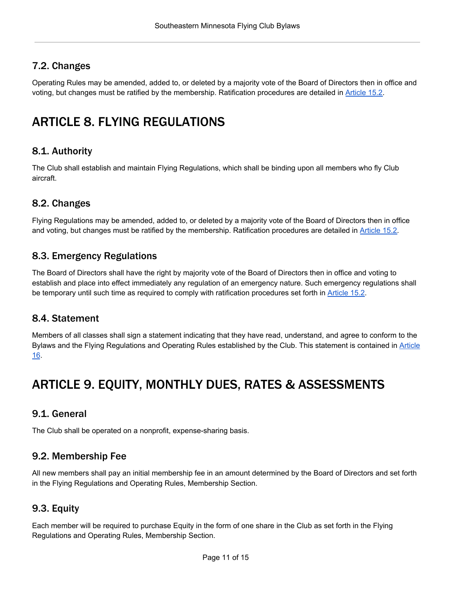# <span id="page-10-0"></span>7.2. Changes

Operating Rules may be amended, added to, or deleted by a majority vote of the Board of Directors then in office and voting, but changes must be ratified by the membership. Ratification procedures are detailed in [Article](#page-13-6) 15.2.

# <span id="page-10-1"></span>ARTICLE 8. FLYING REGULATIONS

# <span id="page-10-2"></span>8.1. Authority

The Club shall establish and maintain Flying Regulations, which shall be binding upon all members who fly Club aircraft.

### <span id="page-10-3"></span>8.2. Changes

Flying Regulations may be amended, added to, or deleted by a majority vote of the Board of Directors then in office and voting, but changes must be ratified by the membership. Ratification procedures are detailed in [Article](#page-13-6) 15.2.

#### <span id="page-10-4"></span>8.3. Emergency Regulations

The Board of Directors shall have the right by majority vote of the Board of Directors then in office and voting to establish and place into effect immediately any regulation of an emergency nature. Such emergency regulations shall be temporary until such time as required to comply with ratification procedures set forth in [Article](#page-13-6) 15.2.

#### <span id="page-10-5"></span>8.4. Statement

Members of all classes shall sign a statement indicating that they have read, understand, and agree to conform to the Bylaws and the Flying Regulations and Operating Rules established by the Club. This statement is contained in [Article](#page-13-7) [16](#page-13-7).

# <span id="page-10-6"></span>ARTICLE 9. EQUITY, MONTHLY DUES, RATES & ASSESSMENTS

#### <span id="page-10-7"></span>9.1. General

The Club shall be operated on a nonprofit, expense-sharing basis.

#### <span id="page-10-8"></span>9.2. Membership Fee

All new members shall pay an initial membership fee in an amount determined by the Board of Directors and set forth in the Flying Regulations and Operating Rules, Membership Section.

#### <span id="page-10-9"></span>9.3. Equity

Each member will be required to purchase Equity in the form of one share in the Club as set forth in the Flying Regulations and Operating Rules, Membership Section.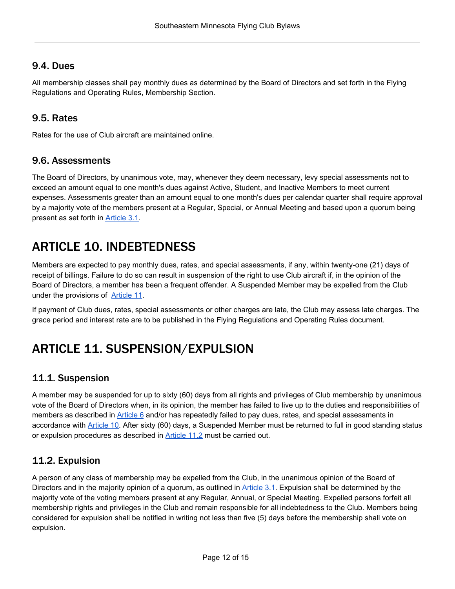### <span id="page-11-0"></span>9.4. Dues

All membership classes shall pay monthly dues as determined by the Board of Directors and set forth in the Flying Regulations and Operating Rules, Membership Section.

# <span id="page-11-1"></span>9.5. Rates

Rates for the use of Club aircraft are maintained online.

#### <span id="page-11-2"></span>9.6. Assessments

The Board of Directors, by unanimous vote, may, whenever they deem necessary, levy special assessments not to exceed an amount equal to one month's dues against Active, Student, and Inactive Members to meet current expenses. Assessments greater than an amount equal to one month's dues per calendar quarter shall require approval by a majority vote of the members present at a Regular, Special, or Annual Meeting and based upon a quorum being present as set forth in [Article](#page-6-1) 3.1.

# <span id="page-11-3"></span>ARTICLE 10. INDEBTEDNESS

Members are expected to pay monthly dues, rates, and special assessments, if any, within twenty-one (21) days of receipt of billings. Failure to do so can result in suspension of the right to use Club aircraft if, in the opinion of the Board of Directors, a member has been a frequent offender. A Suspended Member may be expelled from the Club under the provisions of [Article](#page-11-4) 11.

If payment of Club dues, rates, special assessments or other charges are late, the Club may assess late charges. The grace period and interest rate are to be published in the Flying Regulations and Operating Rules document.

# <span id="page-11-4"></span>ARTICLE 11. SUSPENSION/EXPULSION

# <span id="page-11-5"></span>11.1. Suspension

A member may be suspended for up to sixty (60) days from all rights and privileges of Club membership by unanimous vote of the Board of Directors when, in its opinion, the member has failed to live up to the duties and responsibilities of members as described in [Article](#page-9-1) 6 and/or has repeatedly failed to pay dues, rates, and special assessments in accordance with **[Article](#page-11-3) 10.** After sixty (60) days, a Suspended Member must be returned to full in good standing status or expulsion procedures as described in [Article](#page-11-6) 11.2 must be carried out.

# <span id="page-11-6"></span>11.2. Expulsion

A person of any class of membership may be expelled from the Club, in the unanimous opinion of the Board of Directors and in the majority opinion of a quorum, as outlined in [Article](#page-6-1) 3.1. Expulsion shall be determined by the majority vote of the voting members present at any Regular, Annual, or Special Meeting. Expelled persons forfeit all membership rights and privileges in the Club and remain responsible for all indebtedness to the Club. Members being considered for expulsion shall be notified in writing not less than five (5) days before the membership shall vote on expulsion.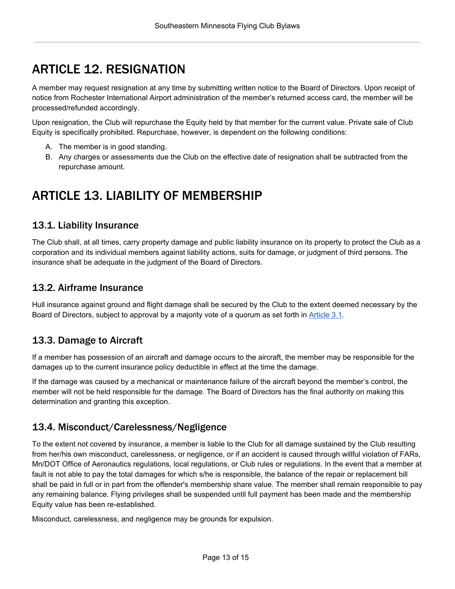# <span id="page-12-0"></span>ARTICLE 12. RESIGNATION

A member may request resignation at any time by submitting written notice to the Board of Directors. Upon receipt of notice from Rochester International Airport administration of the member's returned access card, the member will be processed/refunded accordingly.

Upon resignation, the Club will repurchase the Equity held by that member for the current value. Private sale of Club Equity is specifically prohibited. Repurchase, however, is dependent on the following conditions:

- A. The member is in good standing.
- B. Any charges or assessments due the Club on the effective date of resignation shall be subtracted from the repurchase amount.

# <span id="page-12-1"></span>ARTICLE 13. LIABILITY OF MEMBERSHIP

### <span id="page-12-2"></span>13.1. Liability Insurance

The Club shall, at all times, carry property damage and public liability insurance on its property to protect the Club as a corporation and its individual members against liability actions, suits for damage, or judgment of third persons. The insurance shall be adequate in the judgment of the Board of Directors.

### <span id="page-12-3"></span>13.2. Airframe Insurance

Hull insurance against ground and flight damage shall be secured by the Club to the extent deemed necessary by the Board of Directors, subject to approval by a majority vote of a quorum as set forth in [Article](#page-6-1) 3.1.

# <span id="page-12-4"></span>13.3. Damage to Aircraft

If a member has possession of an aircraft and damage occurs to the aircraft, the member may be responsible for the damages up to the current insurance policy deductible in effect at the time the damage.

If the damage was caused by a mechanical or maintenance failure of the aircraft beyond the member's control, the member will not be held responsible for the damage. The Board of Directors has the final authority on making this determination and granting this exception.

# <span id="page-12-5"></span>13.4. Misconduct/Carelessness/Negligence

To the extent not covered by insurance, a member is liable to the Club for all damage sustained by the Club resulting from her/his own misconduct, carelessness, or negligence, or if an accident is caused through willful violation of FARs, Mn/DOT Office of Aeronautics regulations, local regulations, or Club rules or regulations. In the event that a member at fault is not able to pay the total damages for which s/he is responsible, the balance of the repair or replacement bill shall be paid in full or in part from the offender's membership share value. The member shall remain responsible to pay any remaining balance. Flying privileges shall be suspended until full payment has been made and the membership Equity value has been re-established.

Misconduct, carelessness, and negligence may be grounds for expulsion.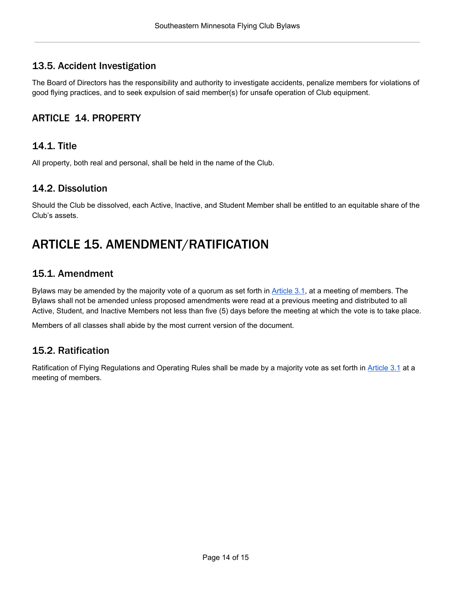# <span id="page-13-0"></span>13.5. Accident Investigation

The Board of Directors has the responsibility and authority to investigate accidents, penalize members for violations of good flying practices, and to seek expulsion of said member(s) for unsafe operation of Club equipment.

# <span id="page-13-1"></span>ARTICLE 14. PROPERTY

### <span id="page-13-2"></span>14.1. Title

All property, both real and personal, shall be held in the name of the Club.

#### <span id="page-13-3"></span>14.2. Dissolution

Should the Club be dissolved, each Active, Inactive, and Student Member shall be entitled to an equitable share of the Club's assets.

# <span id="page-13-4"></span>ARTICLE 15. AMENDMENT/RATIFICATION

#### <span id="page-13-5"></span>15.1. Amendment

Bylaws may be amended by the majority vote of a quorum as set forth in [Article](#page-6-1) 3.1, at a meeting of members. The Bylaws shall not be amended unless proposed amendments were read at a previous meeting and distributed to all Active, Student, and Inactive Members not less than five (5) days before the meeting at which the vote is to take place.

Members of all classes shall abide by the most current version of the document.

# <span id="page-13-6"></span>15.2. Ratification

<span id="page-13-7"></span>Ratification of Flying Regulations and Operating Rules shall be made by a majority vote as set forth in [Article](#page-6-1) 3.1 at a meeting of members.